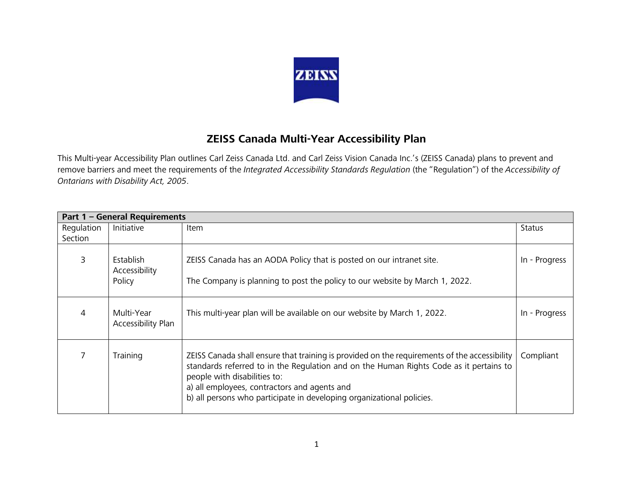

## **ZEISS Canada Multi-Year Accessibility Plan**

This Multi-year Accessibility Plan outlines Carl Zeiss Canada Ltd. and Carl Zeiss Vision Canada Inc.'s (ZEISS Canada) plans to prevent and remove barriers and meet the requirements of the *Integrated Accessibility Standards Regulation* (the "Regulation") of the *Accessibility of Ontarians with Disability Act, 2005*.

| Part 1 - General Requirements |                                      |                                                                                                                                                                                                                                                                                                                                                 |               |
|-------------------------------|--------------------------------------|-------------------------------------------------------------------------------------------------------------------------------------------------------------------------------------------------------------------------------------------------------------------------------------------------------------------------------------------------|---------------|
| Regulation<br>Section         | Initiative                           | Item                                                                                                                                                                                                                                                                                                                                            | <b>Status</b> |
| 3                             | Establish<br>Accessibility<br>Policy | ZEISS Canada has an AODA Policy that is posted on our intranet site.<br>The Company is planning to post the policy to our website by March 1, 2022.                                                                                                                                                                                             | In - Progress |
| 4                             | Multi-Year<br>Accessibility Plan     | This multi-year plan will be available on our website by March 1, 2022.                                                                                                                                                                                                                                                                         | In - Progress |
|                               | Training                             | ZEISS Canada shall ensure that training is provided on the requirements of the accessibility<br>standards referred to in the Regulation and on the Human Rights Code as it pertains to<br>people with disabilities to:<br>a) all employees, contractors and agents and<br>b) all persons who participate in developing organizational policies. | Compliant     |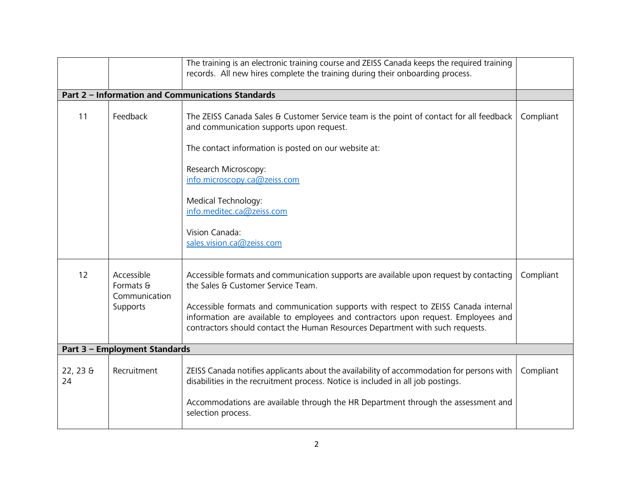|               |                                          | The training is an electronic training course and ZEISS Canada keeps the required training<br>records. All new hires complete the training during their onboarding process.                                                                                |           |
|---------------|------------------------------------------|------------------------------------------------------------------------------------------------------------------------------------------------------------------------------------------------------------------------------------------------------------|-----------|
|               |                                          |                                                                                                                                                                                                                                                            |           |
|               |                                          | <b>Part 2 - Information and Communications Standards</b>                                                                                                                                                                                                   |           |
| 11            | Feedback                                 | The ZEISS Canada Sales & Customer Service team is the point of contact for all feedback<br>and communication supports upon request.                                                                                                                        | Compliant |
|               |                                          | The contact information is posted on our website at:                                                                                                                                                                                                       |           |
|               |                                          | Research Microscopy:<br>info.microscopy.ca@zeiss.com                                                                                                                                                                                                       |           |
|               |                                          | Medical Technology:<br>info.meditec.ca@zeiss.com                                                                                                                                                                                                           |           |
|               |                                          | Vision Canada:<br>sales.vision.ca@zeiss.com                                                                                                                                                                                                                |           |
| 12            | Accessible<br>Formats &<br>Communication | Accessible formats and communication supports are available upon request by contacting<br>the Sales & Customer Service Team.                                                                                                                               | Compliant |
|               | Supports                                 | Accessible formats and communication supports with respect to ZEISS Canada internal<br>information are available to employees and contractors upon request. Employees and<br>contractors should contact the Human Resources Department with such requests. |           |
|               | Part 3 - Employment Standards            |                                                                                                                                                                                                                                                            |           |
|               |                                          |                                                                                                                                                                                                                                                            |           |
| 22, 235<br>24 | Recruitment                              | ZEISS Canada notifies applicants about the availability of accommodation for persons with<br>disabilities in the recruitment process. Notice is included in all job postings.                                                                              | Compliant |
|               |                                          | Accommodations are available through the HR Department through the assessment and<br>selection process.                                                                                                                                                    |           |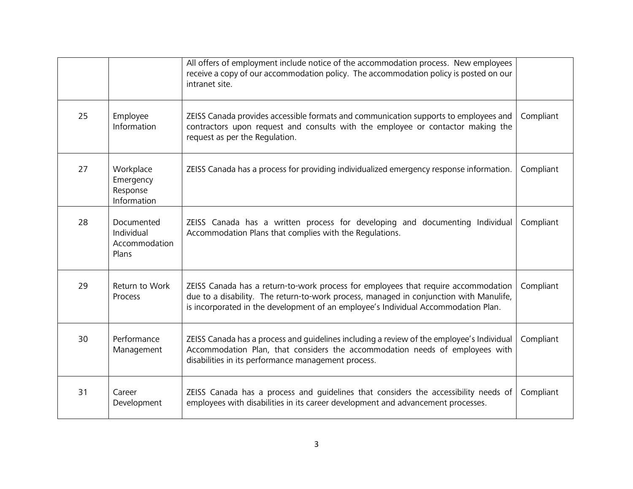|    |                                                    | All offers of employment include notice of the accommodation process. New employees<br>receive a copy of our accommodation policy. The accommodation policy is posted on our<br>intranet site.                                                                     |           |
|----|----------------------------------------------------|--------------------------------------------------------------------------------------------------------------------------------------------------------------------------------------------------------------------------------------------------------------------|-----------|
| 25 | Employee<br>Information                            | ZEISS Canada provides accessible formats and communication supports to employees and<br>contractors upon request and consults with the employee or contactor making the<br>request as per the Regulation.                                                          | Compliant |
| 27 | Workplace<br>Emergency<br>Response<br>Information  | ZEISS Canada has a process for providing individualized emergency response information.                                                                                                                                                                            | Compliant |
| 28 | Documented<br>Individual<br>Accommodation<br>Plans | ZEISS Canada has a written process for developing and documenting Individual<br>Accommodation Plans that complies with the Regulations.                                                                                                                            | Compliant |
| 29 | Return to Work<br>Process                          | ZEISS Canada has a return-to-work process for employees that require accommodation<br>due to a disability. The return-to-work process, managed in conjunction with Manulife,<br>is incorporated in the development of an employee's Individual Accommodation Plan. | Compliant |
| 30 | Performance<br>Management                          | ZEISS Canada has a process and guidelines including a review of the employee's Individual<br>Accommodation Plan, that considers the accommodation needs of employees with<br>disabilities in its performance management process.                                   | Compliant |
| 31 | Career<br>Development                              | ZEISS Canada has a process and guidelines that considers the accessibility needs of<br>employees with disabilities in its career development and advancement processes.                                                                                            | Compliant |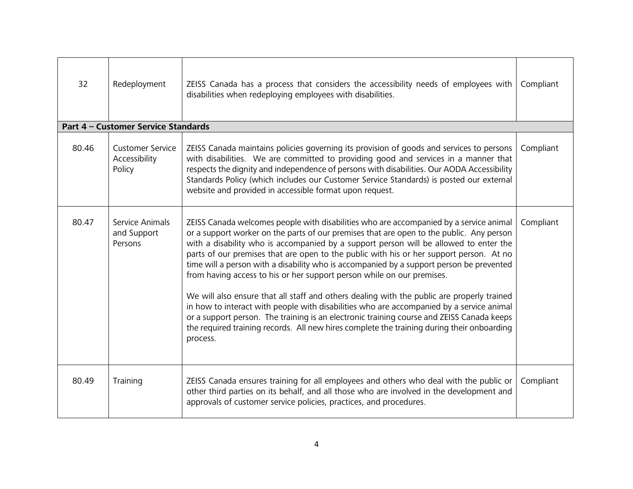| 32    | Redeployment                                       | ZEISS Canada has a process that considers the accessibility needs of employees with<br>disabilities when redeploying employees with disabilities.                                                                                                                                                                                                                                                                                                                                                                                                                                                                                                                                                                                                                                                                                                                                                                                             | Compliant |
|-------|----------------------------------------------------|-----------------------------------------------------------------------------------------------------------------------------------------------------------------------------------------------------------------------------------------------------------------------------------------------------------------------------------------------------------------------------------------------------------------------------------------------------------------------------------------------------------------------------------------------------------------------------------------------------------------------------------------------------------------------------------------------------------------------------------------------------------------------------------------------------------------------------------------------------------------------------------------------------------------------------------------------|-----------|
|       | Part 4 - Customer Service Standards                |                                                                                                                                                                                                                                                                                                                                                                                                                                                                                                                                                                                                                                                                                                                                                                                                                                                                                                                                               |           |
| 80.46 | <b>Customer Service</b><br>Accessibility<br>Policy | ZEISS Canada maintains policies governing its provision of goods and services to persons<br>with disabilities. We are committed to providing good and services in a manner that<br>respects the dignity and independence of persons with disabilities. Our AODA Accessibility<br>Standards Policy (which includes our Customer Service Standards) is posted our external<br>website and provided in accessible format upon request.                                                                                                                                                                                                                                                                                                                                                                                                                                                                                                           | Compliant |
| 80.47 | Service Animals<br>and Support<br>Persons          | ZEISS Canada welcomes people with disabilities who are accompanied by a service animal<br>or a support worker on the parts of our premises that are open to the public. Any person<br>with a disability who is accompanied by a support person will be allowed to enter the<br>parts of our premises that are open to the public with his or her support person. At no<br>time will a person with a disability who is accompanied by a support person be prevented<br>from having access to his or her support person while on our premises.<br>We will also ensure that all staff and others dealing with the public are properly trained<br>in how to interact with people with disabilities who are accompanied by a service animal<br>or a support person. The training is an electronic training course and ZEISS Canada keeps<br>the required training records. All new hires complete the training during their onboarding<br>process. | Compliant |
| 80.49 | Training                                           | ZEISS Canada ensures training for all employees and others who deal with the public or<br>other third parties on its behalf, and all those who are involved in the development and<br>approvals of customer service policies, practices, and procedures.                                                                                                                                                                                                                                                                                                                                                                                                                                                                                                                                                                                                                                                                                      | Compliant |